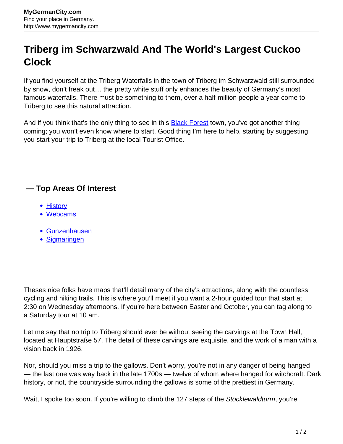## **Triberg im Schwarzwald And The World's Largest Cuckoo Clock**

If you find yourself at the Triberg Waterfalls in the town of Triberg im Schwarzwald still surrounded by snow, don't freak out… the pretty white stuff only enhances the beauty of Germany's most famous waterfalls. There must be something to them, over a half-million people a year come to Triberg to see this natural attraction.

And if you think that's the only thing to see in this **Black Forest** town, you've got another thing coming; you won't even know where to start. Good thing I'm here to help, starting by suggesting you start your trip to Triberg at the local Tourist Office.

## **— Top Areas Of Interest**

- [History](http://www.mygermancity.com/leipzig-history)
- [Webcams](http://www.mygermancity.com/neustadt-holstein-webcams)
- [Gunzenhausen](http://www.mygermancity.com/gunzenhausen)
- [Sigmaringen](http://www.mygermancity.com/sigmaringen)

Theses nice folks have maps that'll detail many of the city's attractions, along with the countless cycling and hiking trails. This is where you'll meet if you want a 2-hour guided tour that start at 2:30 on Wednesday afternoons. If you're here between Easter and October, you can tag along to a Saturday tour at 10 am.

Let me say that no trip to Triberg should ever be without seeing the carvings at the Town Hall, located at Hauptstraße 57. The detail of these carvings are exquisite, and the work of a man with a vision back in 1926.

Nor, should you miss a trip to the gallows. Don't worry, you're not in any danger of being hanged — the last one was way back in the late 1700s — twelve of whom where hanged for witchcraft. Dark history, or not, the countryside surrounding the gallows is some of the prettiest in Germany.

Wait, I spoke too soon. If you're willing to climb the 127 steps of the Stöcklewaldturm, you're